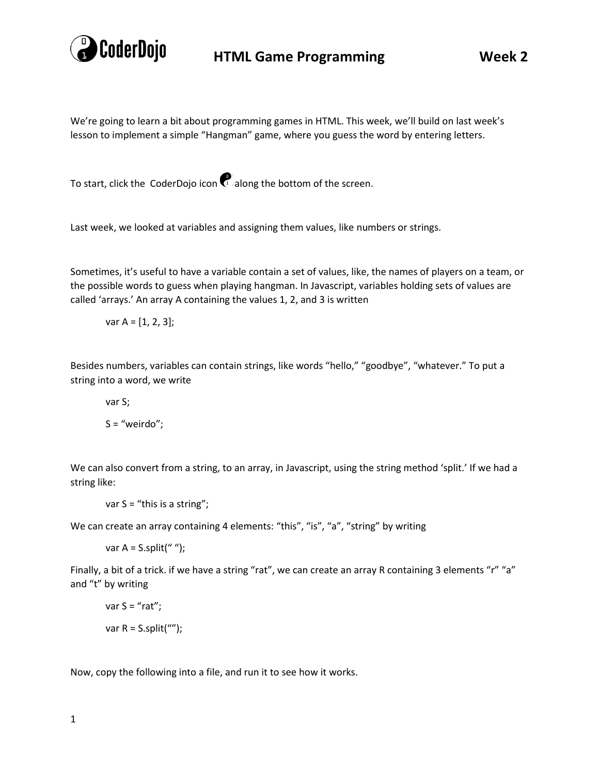

## **HTML Game Programming Week 2**

We're going to learn a bit about programming games in HTML. This week, we'll build on last week's lesson to implement a simple "Hangman" game, where you guess the word by entering letters.

To start, click the CoderDojo icon  $\mathbf{C}$  along the bottom of the screen.

Last week, we looked at variables and assigning them values, like numbers or strings.

Sometimes, it's useful to have a variable contain a set of values, like, the names of players on a team, or the possible words to guess when playing hangman. In Javascript, variables holding sets of values are called 'arrays.' An array A containing the values 1, 2, and 3 is written

var  $A = [1, 2, 3]$ ;

Besides numbers, variables can contain strings, like words "hello," "goodbye", "whatever." To put a string into a word, we write

var S;

 $S = "weirdo";$ 

We can also convert from a string, to an array, in Javascript, using the string method 'split.' If we had a string like:

var S = "this is a string";

We can create an array containing 4 elements: "this", "is", "a", "string" by writing

var  $A = S.split("")$ ;

Finally, a bit of a trick. if we have a string "rat", we can create an array R containing 3 elements "r" "a" and "t" by writing

$$
var S = "rat";
$$
  
var R = S.split("");

Now, copy the following into a file, and run it to see how it works.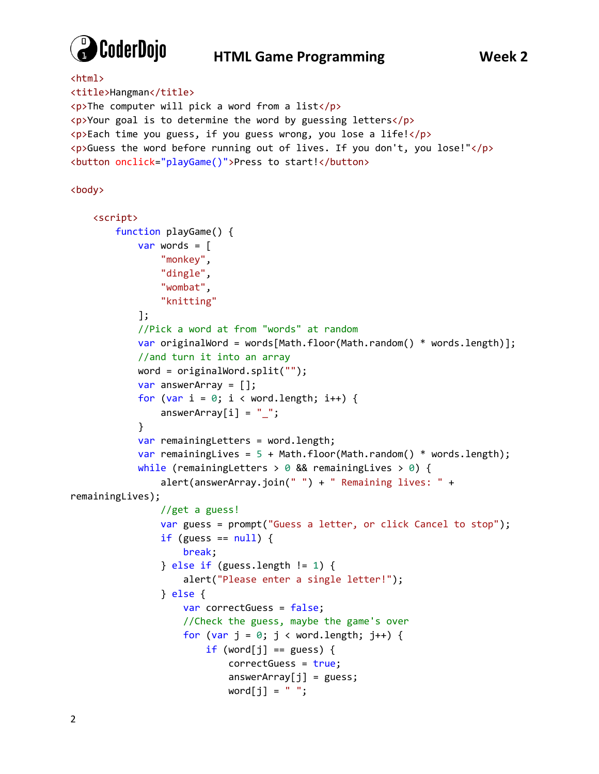

## **HTML Game Programming Week 2**

```
<html>
<title>Hangman</title>
\langle p \rangleThe computer will pick a word from a list\langle p \rangle<p>Your goal is to determine the word by guessing letters</p>
<p>Each time you guess, if you guess wrong, you lose a life!</p>
<p>Guess the word before running out of lives. If you don't, you lose!"</p>
<button onclick="playGame()">Press to start!</button>
<body>
     <script>
         function playGame() {
            var words = \lceil "monkey",
                  "dingle",
                  "wombat",
                  "knitting"
             ];
             //Pick a word at from "words" at random
             var originalWord = words[Math.floor(Math.random() * words.length)];
             //and turn it into an array
             word = originalWord.split("");
             var answerArray = [];
            for (var i = 0; i < word.length; i++) {
                answerArray[i] = ";
 }
            var remainingLetters = word.length;
            var remainingLives = 5 + \text{Math.floor} (Math.random() * words.length);
            while (remainingLetters > 0 && remainingLives > 0) {
                  alert(answerArray.join(" ") + " Remaining lives: " + 
remainingLives);
                 //get a guess!
                 var guess = prompt("Guess a letter, or click Cancel to stop");
                if (guess == null) {
                      break;
                } else if (guess.length != 1) {
                      alert("Please enter a single letter!");
                 } else {
                     var correctGuess = false;
                      //Check the guess, maybe the game's over
                     for (var j = 0; j < word.length; j++) {
                         if (word[j] == guess) {
                              correctGuess = true;
                             answerArray[j] = guess;word[j] = " ";
```
2